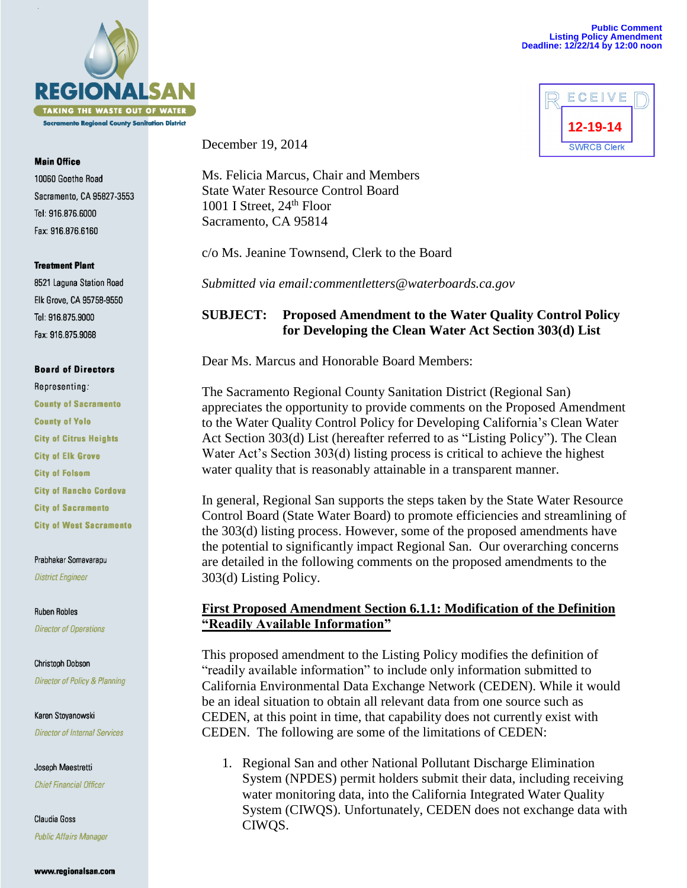

#### **Main Office**

10060 Goethe Road Sacramento, CA 95827-3553 Tel: 916.876.6000 Fax: 916.876.6160

### **Treatment Plant**

8521 Laguna Station Road Elk Grove, CA 95758-9550 Tel: 916.875.9000 Fax: 916.875.9068

## **Board of Directors**

Representing: **County of Sacramento County of Yolo City of Citrus Heights City of Elk Grove City of Folsom City of Rancho Cordova City of Sacramento City of West Sacramento** 

### Prabhakar Somavarapu

**District Engineer** 

**Ruben Robles Director of Operations** 

Christoph Dobson Director of Policy & Planning

Karen Stoyanowski **Director of Internal Services** 

Joseph Maestretti **Chief Financial Officer** 

Claudia Goss **Public Affairs Manager**  December 19, 2014

Ms. Felicia Marcus, Chair and Members State Water Resource Control Board 1001 I Street,  $24<sup>th</sup>$  Floor Sacramento, CA 95814

c/o Ms. Jeanine Townsend, Clerk to the Board

*Submitted via email:commentletters@waterboards.ca.gov*

# **SUBJECT: Proposed Amendment to the Water Quality Control Policy for Developing the Clean Water Act Section 303(d) List**

Dear Ms. Marcus and Honorable Board Members:

The Sacramento Regional County Sanitation District (Regional San) appreciates the opportunity to provide comments on the Proposed Amendment to the Water Quality Control Policy for Developing California's Clean Water Act Section 303(d) List (hereafter referred to as "Listing Policy"). The Clean Water Act's Section 303(d) listing process is critical to achieve the highest water quality that is reasonably attainable in a transparent manner.

In general, Regional San supports the steps taken by the State Water Resource Control Board (State Water Board) to promote efficiencies and streamlining of the 303(d) listing process. However, some of the proposed amendments have the potential to significantly impact Regional San. Our overarching concerns are detailed in the following comments on the proposed amendments to the 303(d) Listing Policy.

# **First Proposed Amendment Section 6.1.1: Modification of the Definition "Readily Available Information"**

This proposed amendment to the Listing Policy modifies the definition of "readily available information" to include only information submitted to California Environmental Data Exchange Network (CEDEN). While it would be an ideal situation to obtain all relevant data from one source such as CEDEN, at this point in time, that capability does not currently exist with CEDEN. The following are some of the limitations of CEDEN:

1. Regional San and other National Pollutant Discharge Elimination System (NPDES) permit holders submit their data, including receiving water monitoring data, into the California Integrated Water Quality System (CIWQS). Unfortunately, CEDEN does not exchange data with CIWQS.

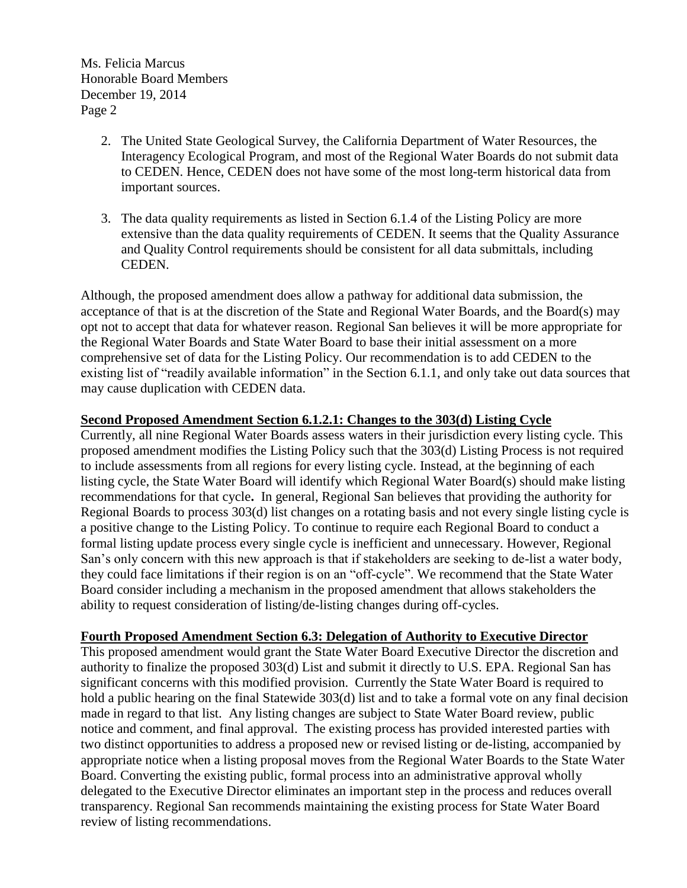Ms. Felicia Marcus Honorable Board Members December 19, 2014 Page 2

- 2. The United State Geological Survey, the California Department of Water Resources, the Interagency Ecological Program, and most of the Regional Water Boards do not submit data to CEDEN. Hence, CEDEN does not have some of the most long-term historical data from important sources.
- 3. The data quality requirements as listed in Section 6.1.4 of the Listing Policy are more extensive than the data quality requirements of CEDEN. It seems that the Quality Assurance and Quality Control requirements should be consistent for all data submittals, including CEDEN.

Although, the proposed amendment does allow a pathway for additional data submission, the acceptance of that is at the discretion of the State and Regional Water Boards, and the Board(s) may opt not to accept that data for whatever reason. Regional San believes it will be more appropriate for the Regional Water Boards and State Water Board to base their initial assessment on a more comprehensive set of data for the Listing Policy. Our recommendation is to add CEDEN to the existing list of "readily available information" in the Section 6.1.1, and only take out data sources that may cause duplication with CEDEN data.

# **Second Proposed Amendment Section 6.1.2.1: Changes to the 303(d) Listing Cycle**

Currently, all nine Regional Water Boards assess waters in their jurisdiction every listing cycle. This proposed amendment modifies the Listing Policy such that the 303(d) Listing Process is not required to include assessments from all regions for every listing cycle. Instead, at the beginning of each listing cycle, the State Water Board will identify which Regional Water Board(s) should make listing recommendations for that cycle**.** In general, Regional San believes that providing the authority for Regional Boards to process 303(d) list changes on a rotating basis and not every single listing cycle is a positive change to the Listing Policy. To continue to require each Regional Board to conduct a formal listing update process every single cycle is inefficient and unnecessary. However, Regional San's only concern with this new approach is that if stakeholders are seeking to de-list a water body, they could face limitations if their region is on an "off-cycle". We recommend that the State Water Board consider including a mechanism in the proposed amendment that allows stakeholders the ability to request consideration of listing/de-listing changes during off-cycles.

## **Fourth Proposed Amendment Section 6.3: Delegation of Authority to Executive Director**

This proposed amendment would grant the State Water Board Executive Director the discretion and authority to finalize the proposed 303(d) List and submit it directly to U.S. EPA. Regional San has significant concerns with this modified provision. Currently the State Water Board is required to hold a public hearing on the final Statewide 303(d) list and to take a formal vote on any final decision made in regard to that list. Any listing changes are subject to State Water Board review, public notice and comment, and final approval. The existing process has provided interested parties with two distinct opportunities to address a proposed new or revised listing or de-listing, accompanied by appropriate notice when a listing proposal moves from the Regional Water Boards to the State Water Board. Converting the existing public, formal process into an administrative approval wholly delegated to the Executive Director eliminates an important step in the process and reduces overall transparency. Regional San recommends maintaining the existing process for State Water Board review of listing recommendations.